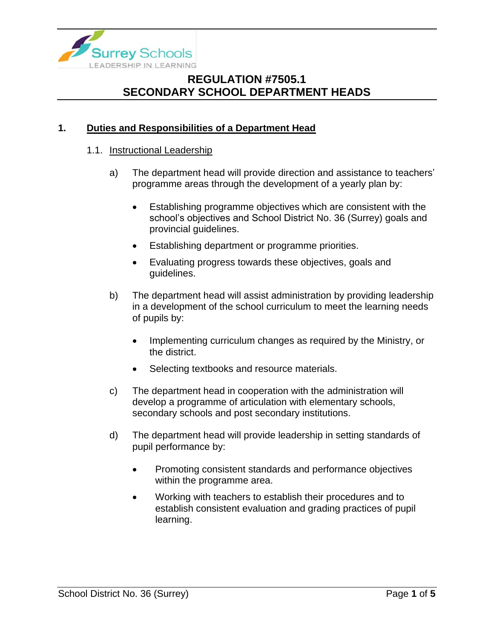

### **1. Duties and Responsibilities of a Department Head**

#### 1.1. Instructional Leadership

- a) The department head will provide direction and assistance to teachers' programme areas through the development of a yearly plan by:
	- Establishing programme objectives which are consistent with the school's objectives and School District No. 36 (Surrey) goals and provincial guidelines.
	- Establishing department or programme priorities.
	- Evaluating progress towards these objectives, goals and guidelines.
- b) The department head will assist administration by providing leadership in a development of the school curriculum to meet the learning needs of pupils by:
	- Implementing curriculum changes as required by the Ministry, or the district.
	- Selecting textbooks and resource materials.
- c) The department head in cooperation with the administration will develop a programme of articulation with elementary schools, secondary schools and post secondary institutions.
- d) The department head will provide leadership in setting standards of pupil performance by:
	- Promoting consistent standards and performance objectives within the programme area.
	- Working with teachers to establish their procedures and to establish consistent evaluation and grading practices of pupil learning.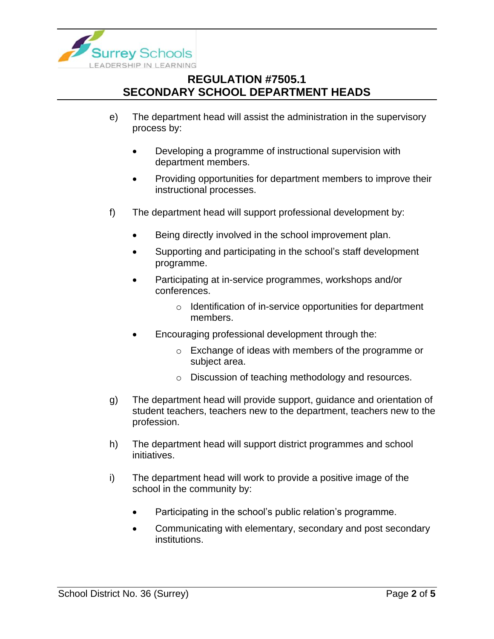

- e) The department head will assist the administration in the supervisory process by:
	- Developing a programme of instructional supervision with department members.
	- Providing opportunities for department members to improve their instructional processes.
- f) The department head will support professional development by:
	- Being directly involved in the school improvement plan.
	- Supporting and participating in the school's staff development programme.
	- Participating at in-service programmes, workshops and/or conferences.
		- o Identification of in-service opportunities for department members.
	- Encouraging professional development through the:
		- o Exchange of ideas with members of the programme or subject area.
		- o Discussion of teaching methodology and resources.
- g) The department head will provide support, guidance and orientation of student teachers, teachers new to the department, teachers new to the profession.
- h) The department head will support district programmes and school initiatives.
- i) The department head will work to provide a positive image of the school in the community by:
	- Participating in the school's public relation's programme.
	- Communicating with elementary, secondary and post secondary institutions.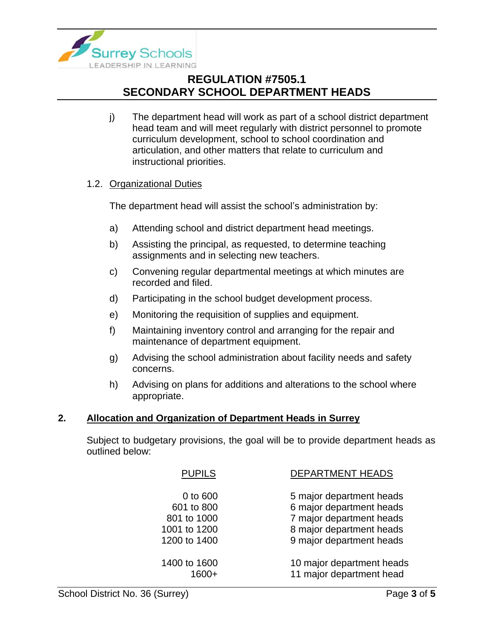

j) The department head will work as part of a school district department head team and will meet regularly with district personnel to promote curriculum development, school to school coordination and articulation, and other matters that relate to curriculum and instructional priorities.

### 1.2. Organizational Duties

The department head will assist the school's administration by:

- a) Attending school and district department head meetings.
- b) Assisting the principal, as requested, to determine teaching assignments and in selecting new teachers.
- c) Convening regular departmental meetings at which minutes are recorded and filed.
- d) Participating in the school budget development process.
- e) Monitoring the requisition of supplies and equipment.
- f) Maintaining inventory control and arranging for the repair and maintenance of department equipment.
- g) Advising the school administration about facility needs and safety concerns.
- h) Advising on plans for additions and alterations to the school where appropriate.

### **2. Allocation and Organization of Department Heads in Surrey**

Subject to budgetary provisions, the goal will be to provide department heads as outlined below:

| <b>PUPILS</b>                                                         | <b>DEPARTMENT HEADS</b>                                                                                                                  |
|-----------------------------------------------------------------------|------------------------------------------------------------------------------------------------------------------------------------------|
| 0 to 600<br>601 to 800<br>801 to 1000<br>1001 to 1200<br>1200 to 1400 | 5 major department heads<br>6 major department heads<br>7 major department heads<br>8 major department heads<br>9 major department heads |
| 1400 to 1600                                                          | 10 major department heads<br>11 major department head                                                                                    |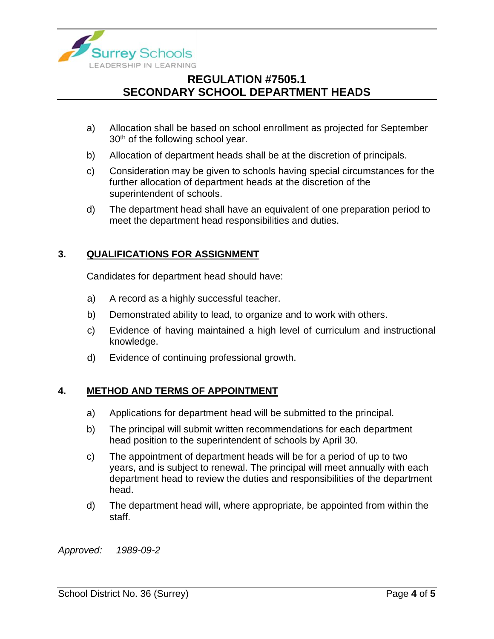

- a) Allocation shall be based on school enrollment as projected for September 30<sup>th</sup> of the following school year.
- b) Allocation of department heads shall be at the discretion of principals.
- c) Consideration may be given to schools having special circumstances for the further allocation of department heads at the discretion of the superintendent of schools.
- d) The department head shall have an equivalent of one preparation period to meet the department head responsibilities and duties.

#### **3. QUALIFICATIONS FOR ASSIGNMENT**

Candidates for department head should have:

- a) A record as a highly successful teacher.
- b) Demonstrated ability to lead, to organize and to work with others.
- c) Evidence of having maintained a high level of curriculum and instructional knowledge.
- d) Evidence of continuing professional growth.

#### **4. METHOD AND TERMS OF APPOINTMENT**

- a) Applications for department head will be submitted to the principal.
- b) The principal will submit written recommendations for each department head position to the superintendent of schools by April 30.
- c) The appointment of department heads will be for a period of up to two years, and is subject to renewal. The principal will meet annually with each department head to review the duties and responsibilities of the department head.
- d) The department head will, where appropriate, be appointed from within the staff.

*Approved: 1989-09-2*